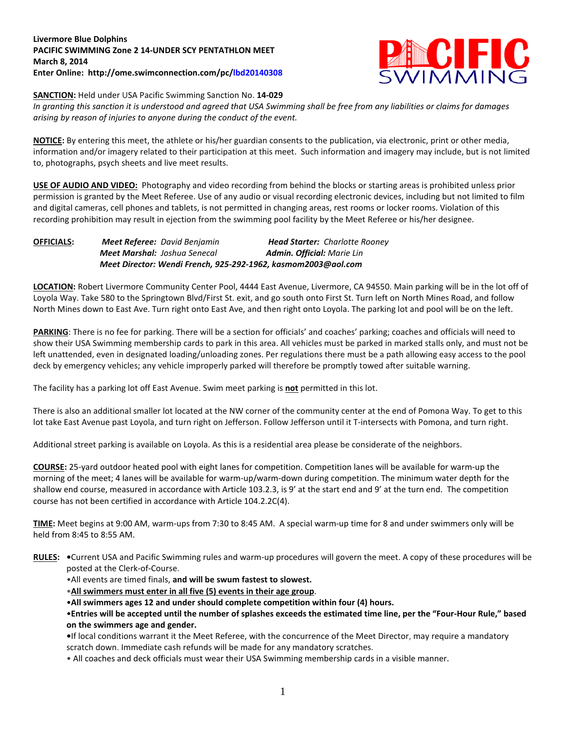## **Livermore Blue Dolphins PACIFIC SWIMMING Zone 2 14-UNDER SCY PENTATHLON MEET March 8, 2014 Enter Online: http://ome.swimconnection.com/pc/lbd20140308**



**SANCTION:** Held under USA Pacific Swimming Sanction No. **14-029**

*In granting this sanction it is understood and agreed that USA Swimming shall be free from any liabilities or claims for damages arising by reason of injuries to anyone during the conduct of the event.*

**NOTICE:** By entering this meet, the athlete or his/her guardian consents to the publication, via electronic, print or other media, information and/or imagery related to their participation at this meet. Such information and imagery may include, but is not limited to, photographs, psych sheets and live meet results.

**USE OF AUDIO AND VIDEO:** Photography and video recording from behind the blocks or starting areas is prohibited unless prior permission is granted by the Meet Referee. Use of any audio or visual recording electronic devices, including but not limited to film and digital cameras, cell phones and tablets, is not permitted in changing areas, rest rooms or locker rooms. Violation of this recording prohibition may result in ejection from the swimming pool facility by the Meet Referee or his/her designee.

**OFFICIALS:** *Meet Referee: David Benjamin Head Starter: Charlotte Rooney Meet Marshal: Joshua Senecal Admin. Official: Marie Lin Meet Director: Wendi French, 925-292-1962, kasmom2003@aol.com*

**LOCATION:** Robert Livermore Community Center Pool, 4444 East Avenue, Livermore, CA 94550. Main parking will be in the lot off of Loyola Way. Take 580 to the Springtown Blvd/First St. exit, and go south onto First St. Turn left on North Mines Road, and follow North Mines down to East Ave. Turn right onto East Ave, and then right onto Loyola. The parking lot and pool will be on the left.

PARKING: There is no fee for parking. There will be a section for officials' and coaches' parking; coaches and officials will need to show their USA Swimming membership cards to park in this area. All vehicles must be parked in marked stalls only, and must not be left unattended, even in designated loading/unloading zones. Per regulations there must be a path allowing easy access to the pool deck by emergency vehicles; any vehicle improperly parked will therefore be promptly towed after suitable warning.

The facility has a parking lot off East Avenue. Swim meet parking is **not** permitted in this lot.

There is also an additional smaller lot located at the NW corner of the community center at the end of Pomona Way. To get to this lot take East Avenue past Loyola, and turn right on Jefferson. Follow Jefferson until it T-intersects with Pomona, and turn right.

Additional street parking is available on Loyola. As this is a residential area please be considerate of the neighbors.

**COURSE:** 25-yard outdoor heated pool with eight lanes for competition. Competition lanes will be available for warm-up the morning of the meet; 4 lanes will be available for warm-up/warm-down during competition. The minimum water depth for the shallow end course, measured in accordance with Article 103.2.3, is 9' at the start end and 9' at the turn end. The competition course has not been certified in accordance with Article 104.2.2C(4).

**TIME:** Meet begins at 9:00 AM, warm-ups from 7:30 to 8:45 AM. A special warm-up time for 8 and under swimmers only will be held from 8:45 to 8:55 AM.

**RULES: •**Current USA and Pacific Swimming rules and warm-up procedures will govern the meet. A copy of these procedures will be posted at the Clerk-of-Course.

•All events are timed finals, **and will be swum fastest to slowest.**

•**All swimmers must enter in all five (5) events in their age group**.

•**All swimmers ages 12 and under should complete competition within four (4) hours.**

•**Entries will be accepted until the number of splashes exceeds the estimated time line, per the "Four-Hour Rule," based on the swimmers age and gender.** 

**•**If local conditions warrant it the Meet Referee, with the concurrence of the Meet Director, may require a mandatory scratch down. Immediate cash refunds will be made for any mandatory scratches.

• All coaches and deck officials must wear their USA Swimming membership cards in a visible manner.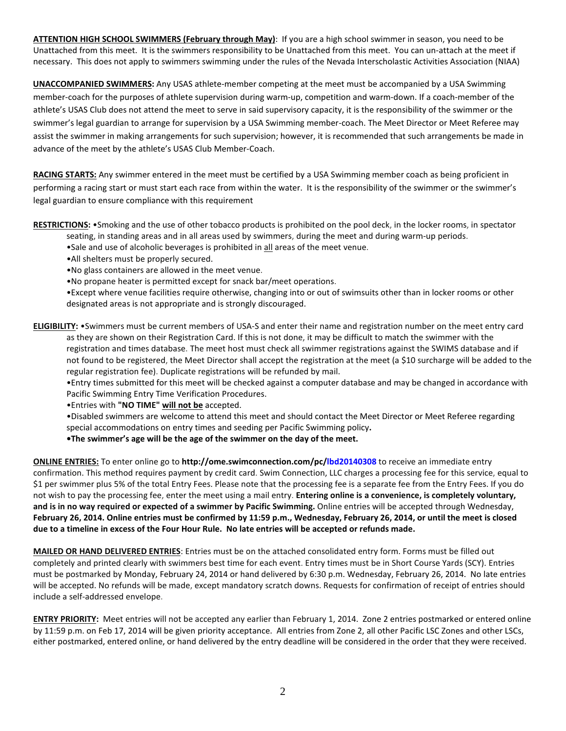**ATTENTION HIGH SCHOOL SWIMMERS (February through May)**: If you are a high school swimmer in season, you need to be Unattached from this meet. It is the swimmers responsibility to be Unattached from this meet. You can un-attach at the meet if necessary. This does not apply to swimmers swimming under the rules of the Nevada Interscholastic Activities Association (NIAA)

**UNACCOMPANIED SWIMMERS:** Any USAS athlete-member competing at the meet must be accompanied by a USA Swimming member-coach for the purposes of athlete supervision during warm-up, competition and warm-down. If a coach-member of the athlete's USAS Club does not attend the meet to serve in said supervisory capacity, it is the responsibility of the swimmer or the swimmer's legal guardian to arrange for supervision by a USA Swimming member-coach. The Meet Director or Meet Referee may assist the swimmer in making arrangements for such supervision; however, it is recommended that such arrangements be made in advance of the meet by the athlete's USAS Club Member-Coach.

**RACING STARTS:** Any swimmer entered in the meet must be certified by a USA Swimming member coach as being proficient in performing a racing start or must start each race from within the water. It is the responsibility of the swimmer or the swimmer's legal guardian to ensure compliance with this requirement

**RESTRICTIONS:** •Smoking and the use of other tobacco products is prohibited on the pool deck, in the locker rooms, in spectator

- seating, in standing areas and in all areas used by swimmers, during the meet and during warm-up periods.
- •Sale and use of alcoholic beverages is prohibited in all areas of the meet venue.
- •All shelters must be properly secured.
- •No glass containers are allowed in the meet venue.
- •No propane heater is permitted except for snack bar/meet operations.

•Except where venue facilities require otherwise, changing into or out of swimsuits other than in locker rooms or other designated areas is not appropriate and is strongly discouraged.

**ELIGIBILITY:** •Swimmers must be current members of USA-S and enter their name and registration number on the meet entry card as they are shown on their Registration Card. If this is not done, it may be difficult to match the swimmer with the registration and times database. The meet host must check all swimmer registrations against the SWIMS database and if not found to be registered, the Meet Director shall accept the registration at the meet (a \$10 surcharge will be added to the regular registration fee). Duplicate registrations will be refunded by mail.

•Entry times submitted for this meet will be checked against a computer database and may be changed in accordance with Pacific Swimming Entry Time Verification Procedures.

•Entries with **"NO TIME" will not be** accepted.

•Disabled swimmers are welcome to attend this meet and should contact the Meet Director or Meet Referee regarding special accommodations on entry times and seeding per Pacific Swimming policy**.**

**•The swimmer's age will be the age of the swimmer on the day of the meet.**

**ONLINE ENTRIES:** To enter online go to **http://ome.swimconnection.com/pc/lbd20140308** to receive an immediate entry confirmation. This method requires payment by credit card. Swim Connection, LLC charges a processing fee for this service, equal to \$1 per swimmer plus 5% of the total Entry Fees. Please note that the processing fee is a separate fee from the Entry Fees. If you do not wish to pay the processing fee, enter the meet using a mail entry. **Entering online is a convenience, is completely voluntary, and is in no way required or expected of a swimmer by Pacific Swimming.** Online entries will be accepted through Wednesday, **February 26, 2014. Online entries must be confirmed by 11:59 p.m., Wednesday, February 26, 2014, or until the meet is closed due to a timeline in excess of the Four Hour Rule. No late entries will be accepted or refunds made.**

**MAILED OR HAND DELIVERED ENTRIES**: Entries must be on the attached consolidated entry form. Forms must be filled out completely and printed clearly with swimmers best time for each event. Entry times must be in Short Course Yards (SCY). Entries must be postmarked by Monday, February 24, 2014 or hand delivered by 6:30 p.m. Wednesday, February 26, 2014. No late entries will be accepted. No refunds will be made, except mandatory scratch downs. Requests for confirmation of receipt of entries should include a self-addressed envelope.

**ENTRY PRIORITY:** Meet entries will not be accepted any earlier than February 1, 2014. Zone 2 entries postmarked or entered online by 11:59 p.m. on Feb 17, 2014 will be given priority acceptance. All entries from Zone 2, all other Pacific LSC Zones and other LSCs, either postmarked, entered online, or hand delivered by the entry deadline will be considered in the order that they were received.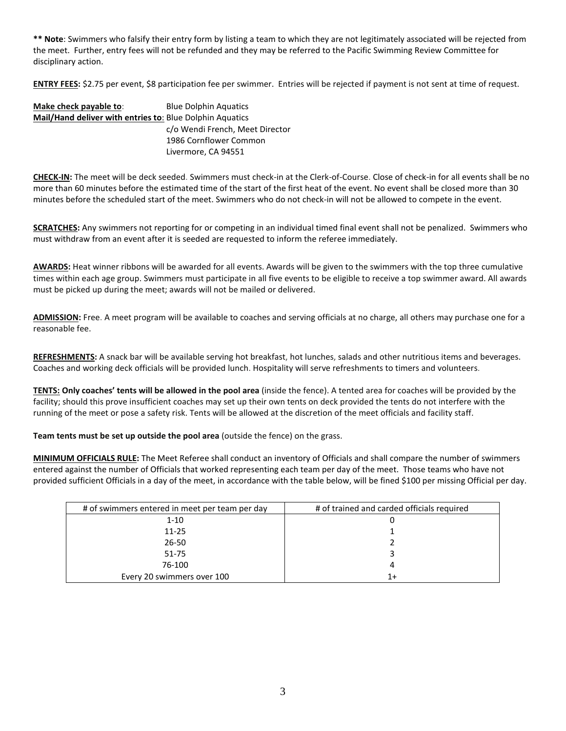**\*\* Note**: Swimmers who falsify their entry form by listing a team to which they are not legitimately associated will be rejected from the meet. Further, entry fees will not be refunded and they may be referred to the Pacific Swimming Review Committee for disciplinary action.

**ENTRY FEES:** \$2.75 per event, \$8 participation fee per swimmer. Entries will be rejected if payment is not sent at time of request.

| Make check payable to:                                   | <b>Blue Dolphin Aquatics</b>    |  |  |  |  |
|----------------------------------------------------------|---------------------------------|--|--|--|--|
| Mail/Hand deliver with entries to: Blue Dolphin Aquatics |                                 |  |  |  |  |
|                                                          | c/o Wendi French, Meet Director |  |  |  |  |
|                                                          | 1986 Cornflower Common          |  |  |  |  |
|                                                          | Livermore, CA 94551             |  |  |  |  |

**CHECK-IN:** The meet will be deck seeded. Swimmers must check-in at the Clerk-of-Course. Close of check-in for all events shall be no more than 60 minutes before the estimated time of the start of the first heat of the event. No event shall be closed more than 30 minutes before the scheduled start of the meet. Swimmers who do not check-in will not be allowed to compete in the event.

**SCRATCHES:** Any swimmers not reporting for or competing in an individual timed final event shall not be penalized. Swimmers who must withdraw from an event after it is seeded are requested to inform the referee immediately.

**AWARDS:** Heat winner ribbons will be awarded for all events. Awards will be given to the swimmers with the top three cumulative times within each age group. Swimmers must participate in all five events to be eligible to receive a top swimmer award. All awards must be picked up during the meet; awards will not be mailed or delivered.

**ADMISSION:** Free. A meet program will be available to coaches and serving officials at no charge, all others may purchase one for a reasonable fee.

**REFRESHMENTS:** A snack bar will be available serving hot breakfast, hot lunches, salads and other nutritious items and beverages. Coaches and working deck officials will be provided lunch. Hospitality will serve refreshments to timers and volunteers.

**TENTS: Only coaches' tents will be allowed in the pool area** (inside the fence). A tented area for coaches will be provided by the facility; should this prove insufficient coaches may set up their own tents on deck provided the tents do not interfere with the running of the meet or pose a safety risk. Tents will be allowed at the discretion of the meet officials and facility staff.

**Team tents must be set up outside the pool area** (outside the fence) on the grass.

**MINIMUM OFFICIALS RULE:** The Meet Referee shall conduct an inventory of Officials and shall compare the number of swimmers entered against the number of Officials that worked representing each team per day of the meet. Those teams who have not provided sufficient Officials in a day of the meet, in accordance with the table below, will be fined \$100 per missing Official per day.

| # of swimmers entered in meet per team per day | # of trained and carded officials required |
|------------------------------------------------|--------------------------------------------|
| $1 - 10$                                       |                                            |
| 11-25                                          |                                            |
| 26-50                                          |                                            |
| $51 - 75$                                      |                                            |
| 76-100                                         |                                            |
| Every 20 swimmers over 100                     |                                            |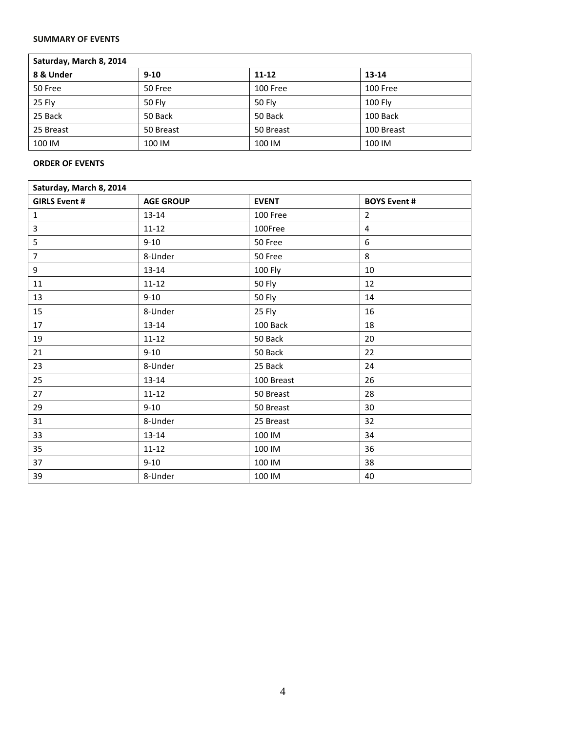## **SUMMARY OF EVENTS**

| Saturday, March 8, 2014 |           |           |            |  |  |  |  |
|-------------------------|-----------|-----------|------------|--|--|--|--|
| 8 & Under               | $9 - 10$  | $11 - 12$ | 13-14      |  |  |  |  |
| 50 Free                 | 50 Free   | 100 Free  | 100 Free   |  |  |  |  |
| 25 Fly                  | 50 Fly    | 50 Fly    | 100 Fly    |  |  |  |  |
| 25 Back                 | 50 Back   | 50 Back   | 100 Back   |  |  |  |  |
| 25 Breast               | 50 Breast | 50 Breast | 100 Breast |  |  |  |  |
| 100 IM                  | 100 IM    | 100 IM    | 100 IM     |  |  |  |  |

## **ORDER OF EVENTS**

| Saturday, March 8, 2014 |                  |              |                     |  |  |  |  |
|-------------------------|------------------|--------------|---------------------|--|--|--|--|
| <b>GIRLS Event #</b>    | <b>AGE GROUP</b> | <b>EVENT</b> | <b>BOYS Event #</b> |  |  |  |  |
| $\mathbf 1$             | 13-14            | 100 Free     | $\overline{2}$      |  |  |  |  |
| $\overline{\mathbf{3}}$ | $11 - 12$        | 100Free      | $\overline{4}$      |  |  |  |  |
| 5                       | $9 - 10$         | 50 Free      | 6                   |  |  |  |  |
| $\overline{7}$          | 8-Under          | 50 Free      | 8                   |  |  |  |  |
| 9                       | $13 - 14$        | 100 Fly      | 10                  |  |  |  |  |
| 11                      | $11 - 12$        | 50 Fly       | 12                  |  |  |  |  |
| 13                      | $9 - 10$         | 50 Fly       | 14                  |  |  |  |  |
| 15                      | 8-Under          | 25 Fly       | 16                  |  |  |  |  |
| 17                      | $13 - 14$        | 100 Back     | 18                  |  |  |  |  |
| 19                      | $11 - 12$        | 50 Back      | 20                  |  |  |  |  |
| 21                      | $9 - 10$         | 50 Back      | 22                  |  |  |  |  |
| 23                      | 8-Under          | 25 Back      | 24                  |  |  |  |  |
| 25                      | $13 - 14$        | 100 Breast   | 26                  |  |  |  |  |
| 27                      | $11 - 12$        | 50 Breast    | 28                  |  |  |  |  |
| 29                      | $9 - 10$         | 50 Breast    | 30                  |  |  |  |  |
| 31                      | 8-Under          | 25 Breast    | 32                  |  |  |  |  |
| 33                      | $13 - 14$        | 100 IM       | 34                  |  |  |  |  |
| 35                      | $11 - 12$        | 100 IM       | 36                  |  |  |  |  |
| 37                      | $9 - 10$         | 100 IM       | 38                  |  |  |  |  |
| 39                      | 8-Under          | 100 IM       | 40                  |  |  |  |  |